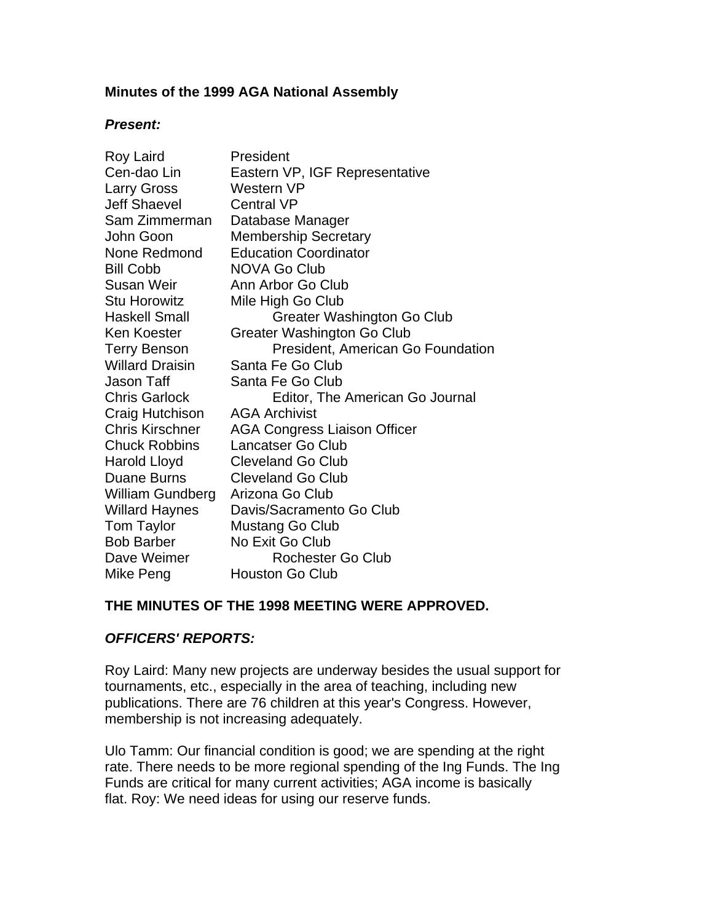## **Minutes of the 1999 AGA National Assembly**

#### *Present:*

| Roy Laird              | President                           |
|------------------------|-------------------------------------|
| Cen-dao Lin            | Eastern VP, IGF Representative      |
| <b>Larry Gross</b>     | Western VP                          |
| <b>Jeff Shaevel</b>    | <b>Central VP</b>                   |
| Sam Zimmerman          | Database Manager                    |
| John Goon              | <b>Membership Secretary</b>         |
| None Redmond           | <b>Education Coordinator</b>        |
| <b>Bill Cobb</b>       | <b>NOVA Go Club</b>                 |
| Susan Weir             | Ann Arbor Go Club                   |
| <b>Stu Horowitz</b>    | Mile High Go Club                   |
| Haskell Small          | Greater Washington Go Club          |
| <b>Ken Koester</b>     | <b>Greater Washington Go Club</b>   |
| <b>Terry Benson</b>    | President, American Go Foundation   |
| <b>Willard Draisin</b> | Santa Fe Go Club                    |
| Jason Taff             | Santa Fe Go Club                    |
| <b>Chris Garlock</b>   | Editor, The American Go Journal     |
| Craig Hutchison        | <b>AGA Archivist</b>                |
| <b>Chris Kirschner</b> | <b>AGA Congress Liaison Officer</b> |
| <b>Chuck Robbins</b>   | <b>Lancatser Go Club</b>            |
| Harold Lloyd           | <b>Cleveland Go Club</b>            |
| <b>Duane Burns</b>     | <b>Cleveland Go Club</b>            |
| William Gundberg       | Arizona Go Club                     |
| <b>Willard Haynes</b>  | Davis/Sacramento Go Club            |
| <b>Tom Taylor</b>      | Mustang Go Club                     |
| <b>Bob Barber</b>      | No Exit Go Club                     |
| Dave Weimer            | Rochester Go Club                   |
| Mike Peng              | <b>Houston Go Club</b>              |

#### **THE MINUTES OF THE 1998 MEETING WERE APPROVED.**

## *OFFICERS' REPORTS:*

Roy Laird: Many new projects are underway besides the usual support for tournaments, etc., especially in the area of teaching, including new publications. There are 76 children at this year's Congress. However, membership is not increasing adequately.

Ulo Tamm: Our financial condition is good; we are spending at the right rate. There needs to be more regional spending of the Ing Funds. The Ing Funds are critical for many current activities; AGA income is basically flat. Roy: We need ideas for using our reserve funds.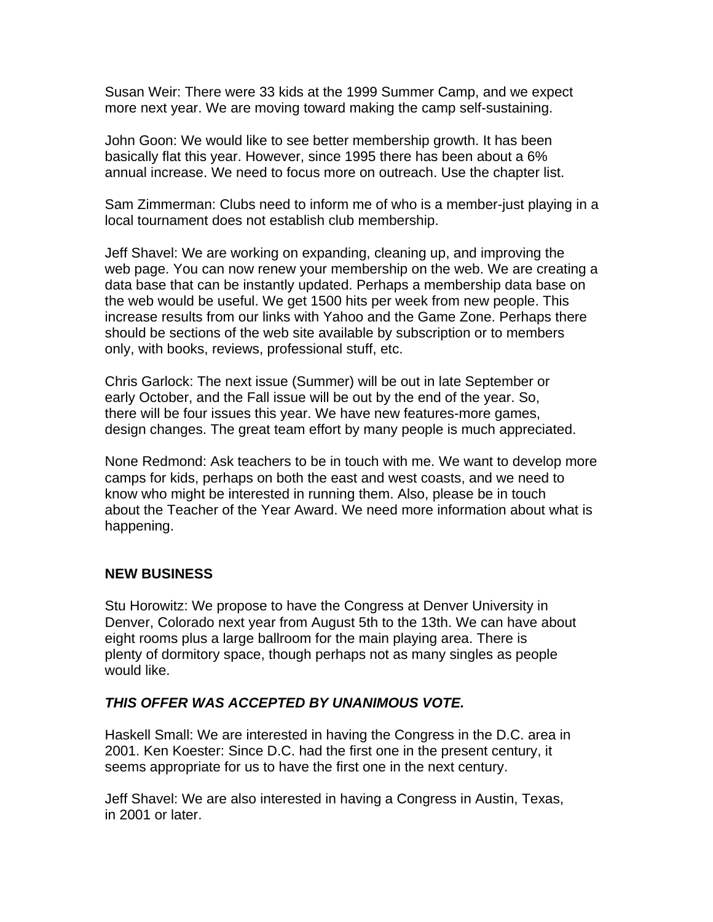Susan Weir: There were 33 kids at the 1999 Summer Camp, and we expect more next year. We are moving toward making the camp self-sustaining.

John Goon: We would like to see better membership growth. It has been basically flat this year. However, since 1995 there has been about a 6% annual increase. We need to focus more on outreach. Use the chapter list.

Sam Zimmerman: Clubs need to inform me of who is a member-just playing in a local tournament does not establish club membership.

Jeff Shavel: We are working on expanding, cleaning up, and improving the web page. You can now renew your membership on the web. We are creating a data base that can be instantly updated. Perhaps a membership data base on the web would be useful. We get 1500 hits per week from new people. This increase results from our links with Yahoo and the Game Zone. Perhaps there should be sections of the web site available by subscription or to members only, with books, reviews, professional stuff, etc.

Chris Garlock: The next issue (Summer) will be out in late September or early October, and the Fall issue will be out by the end of the year. So, there will be four issues this year. We have new features-more games, design changes. The great team effort by many people is much appreciated.

None Redmond: Ask teachers to be in touch with me. We want to develop more camps for kids, perhaps on both the east and west coasts, and we need to know who might be interested in running them. Also, please be in touch about the Teacher of the Year Award. We need more information about what is happening.

## **NEW BUSINESS**

Stu Horowitz: We propose to have the Congress at Denver University in Denver, Colorado next year from August 5th to the 13th. We can have about eight rooms plus a large ballroom for the main playing area. There is plenty of dormitory space, though perhaps not as many singles as people would like.

## *THIS OFFER WAS ACCEPTED BY UNANIMOUS VOTE.*

Haskell Small: We are interested in having the Congress in the D.C. area in 2001. Ken Koester: Since D.C. had the first one in the present century, it seems appropriate for us to have the first one in the next century.

Jeff Shavel: We are also interested in having a Congress in Austin, Texas, in 2001 or later.